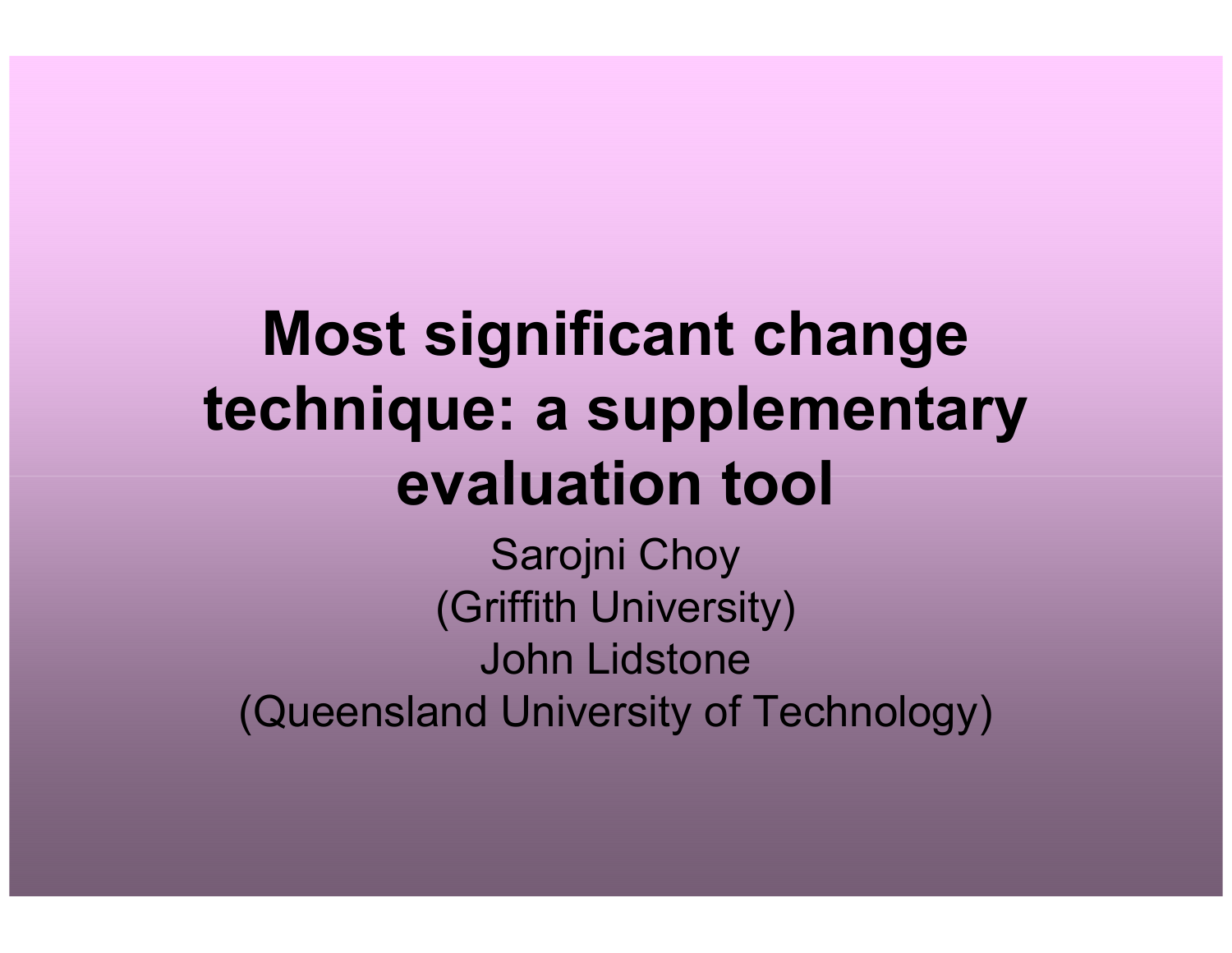## Most significant change technique: a supplementary evaluation tool

Sarojni Choy (Griffith University)John Lidstone(Queensland University of Technology)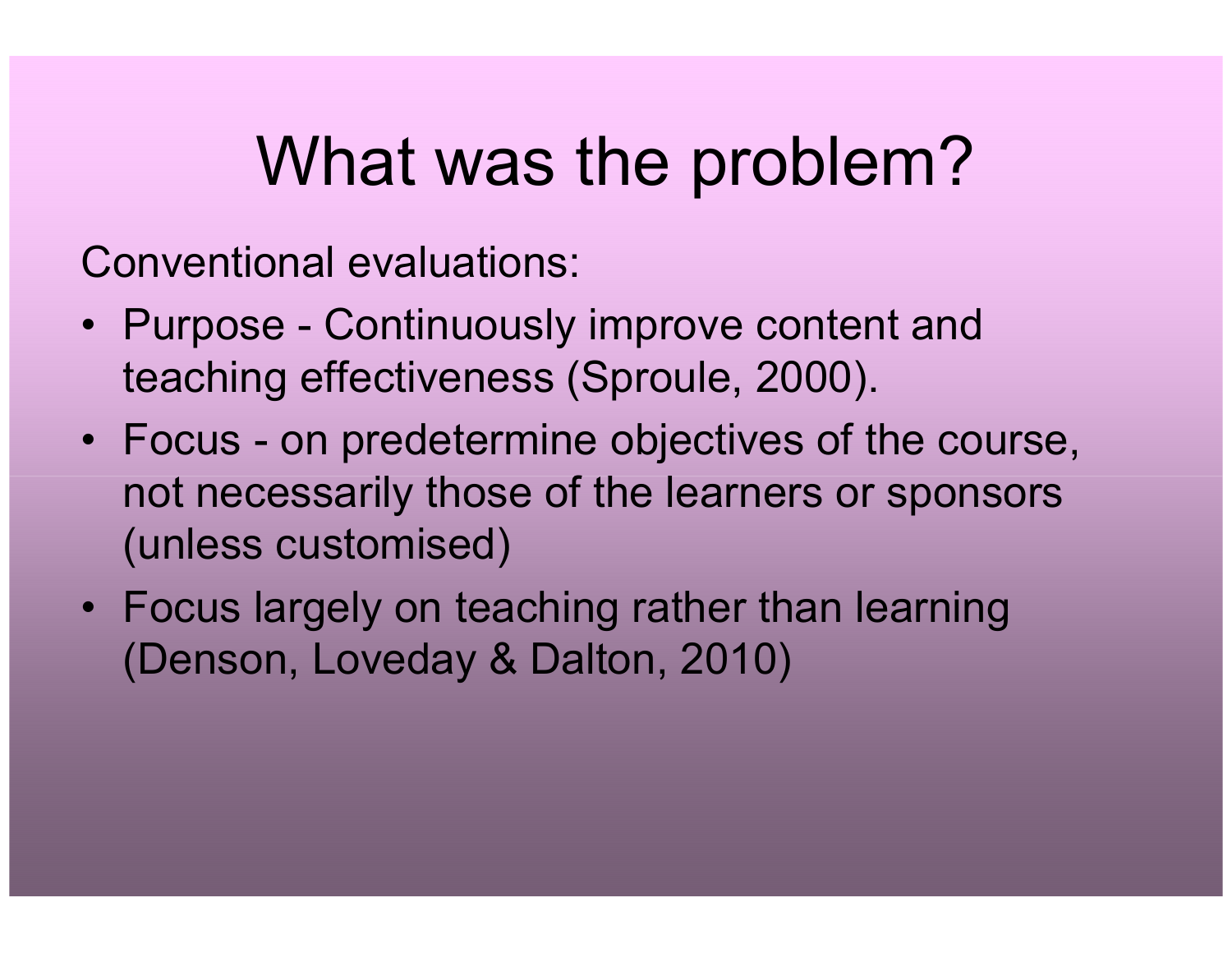## What was the problem?

Conventional evaluations:

- Purpose Continuously improve content and<br>teaching effectiveness (Carevla, 2000) teaching effectiveness (Sproule, 2000).
- Focus on predetermine objectives of the course, not necessarily those of the learners or sponsors (unless customised)
- Focus largely on teaching rather than learning<br>(Densen Javeday 8 Delten 2010) (Denson, Loveday & Dalton, 2010)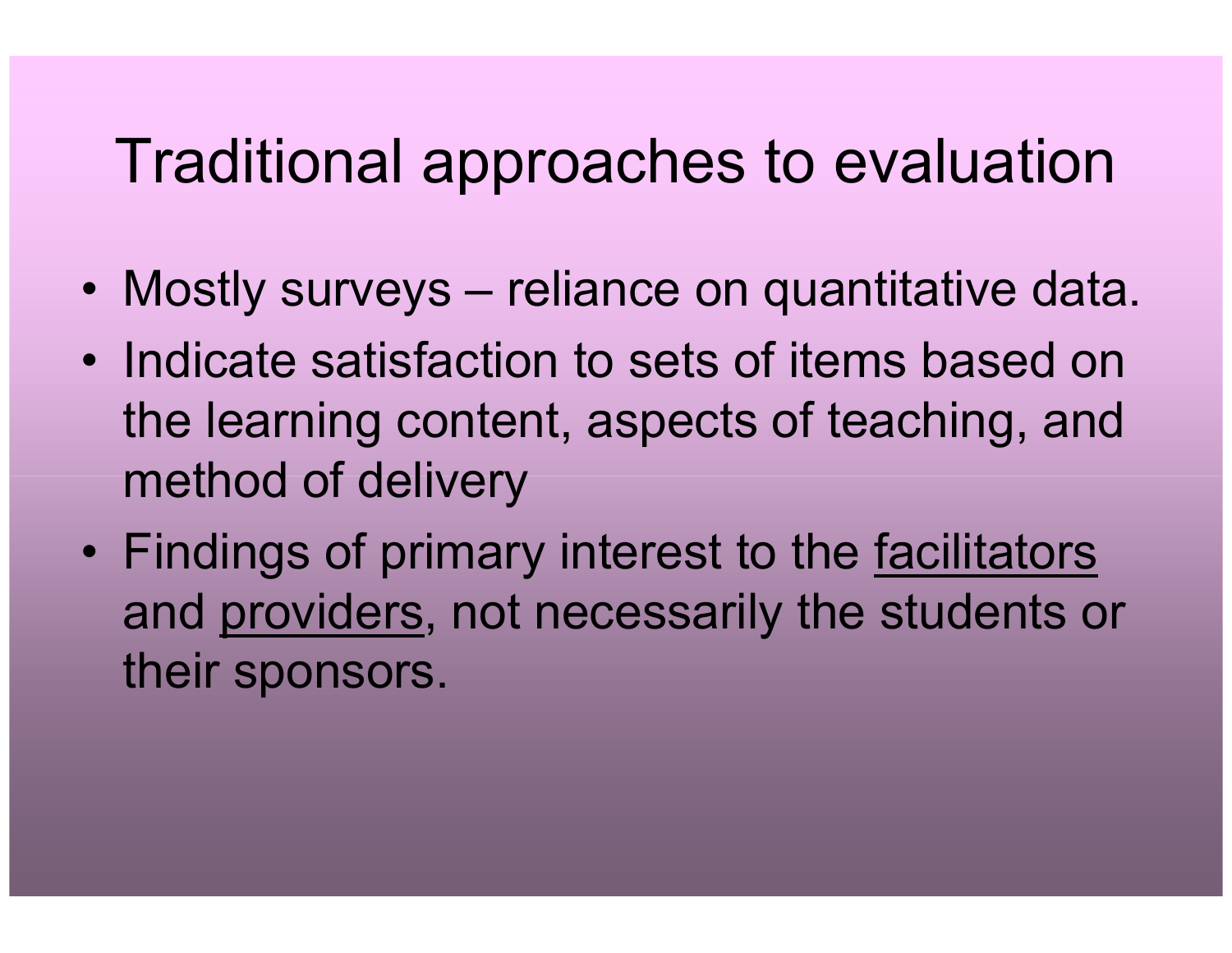#### Traditional approaches to evaluation

- Mostly surveys reliance on quantitative data.
- $\bullet$ Indicate satisfaction to sets of items based on the learning content, aspects of teaching, and method of delivery
- $\bullet$ Findings of primary interest to the <u>facilitators</u> and providers, not necessarily the students or their sponsors.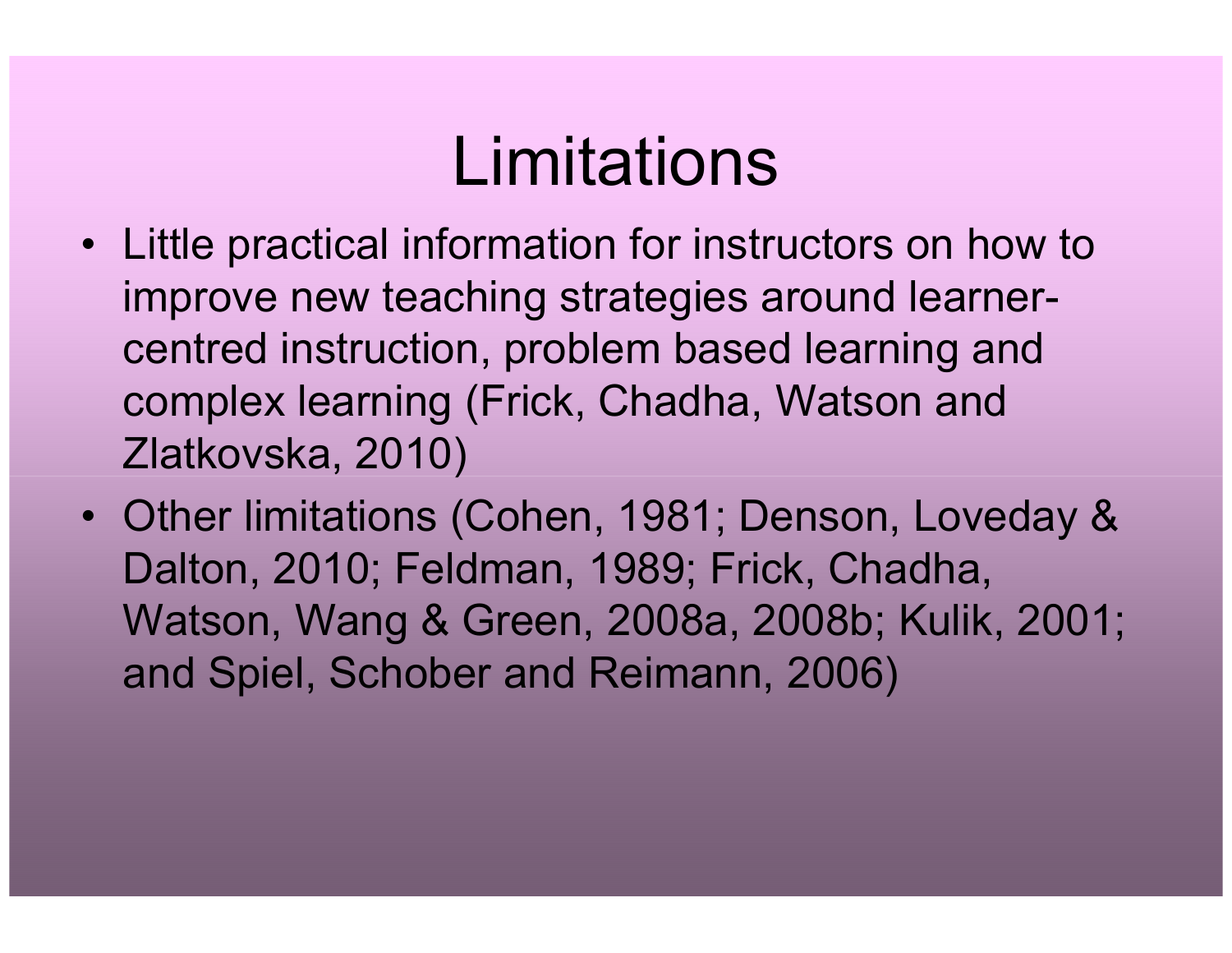## Limitations

- Little practical information for instructors on how to improve new teaching strategies around learnercentred instruction, problem based learning and complex learning (Frick, Chadha, Watson and Zlatkovska, 2010)
- Other limitations (Cohen, 1981; Denson, Loveday & Dalton, 2010; Feldman, 1989; Frick, Chadha, Watson, Wang & Green, 2008a, 2008b; Kulik, 2001; and Spiel, Schober and Reimann, 2006)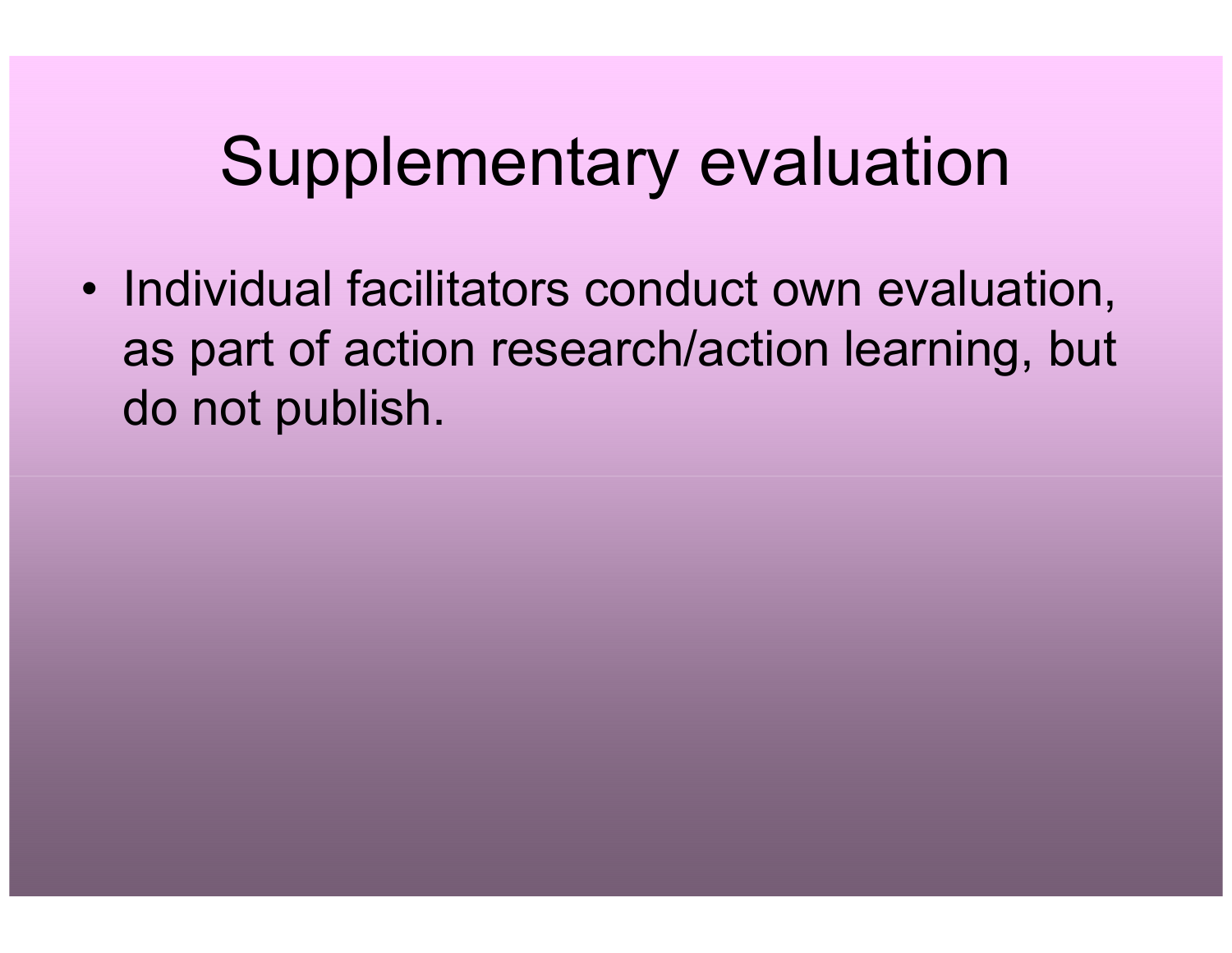### Supplementary evaluation

• Individual facilitators conduct own evaluation, as part of action research/action learning, but do not publish.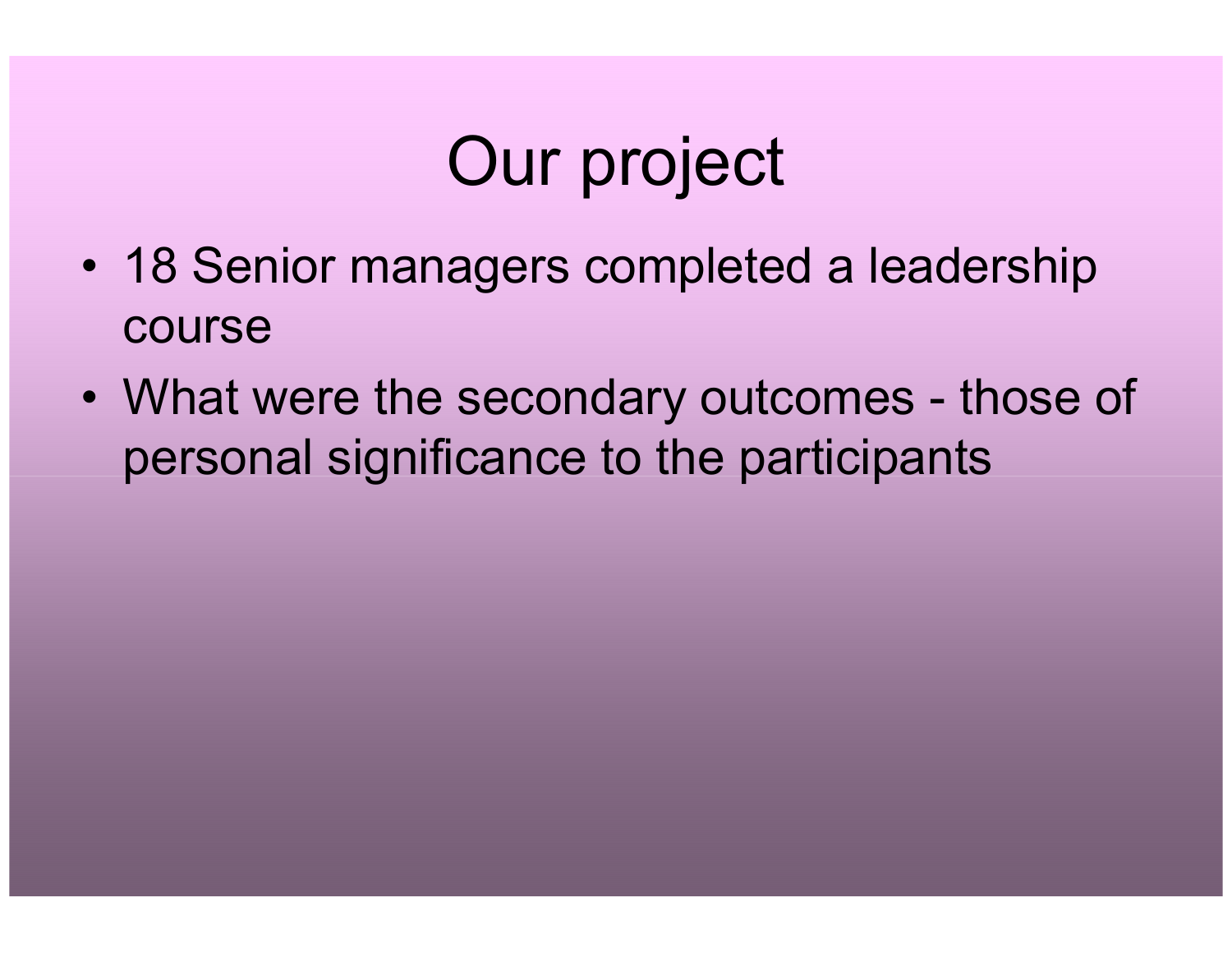# Our project

- $\bullet$ 18 Senior managers completed a leadership course
- •What were the secondary outcomes - those of personal significance to the participants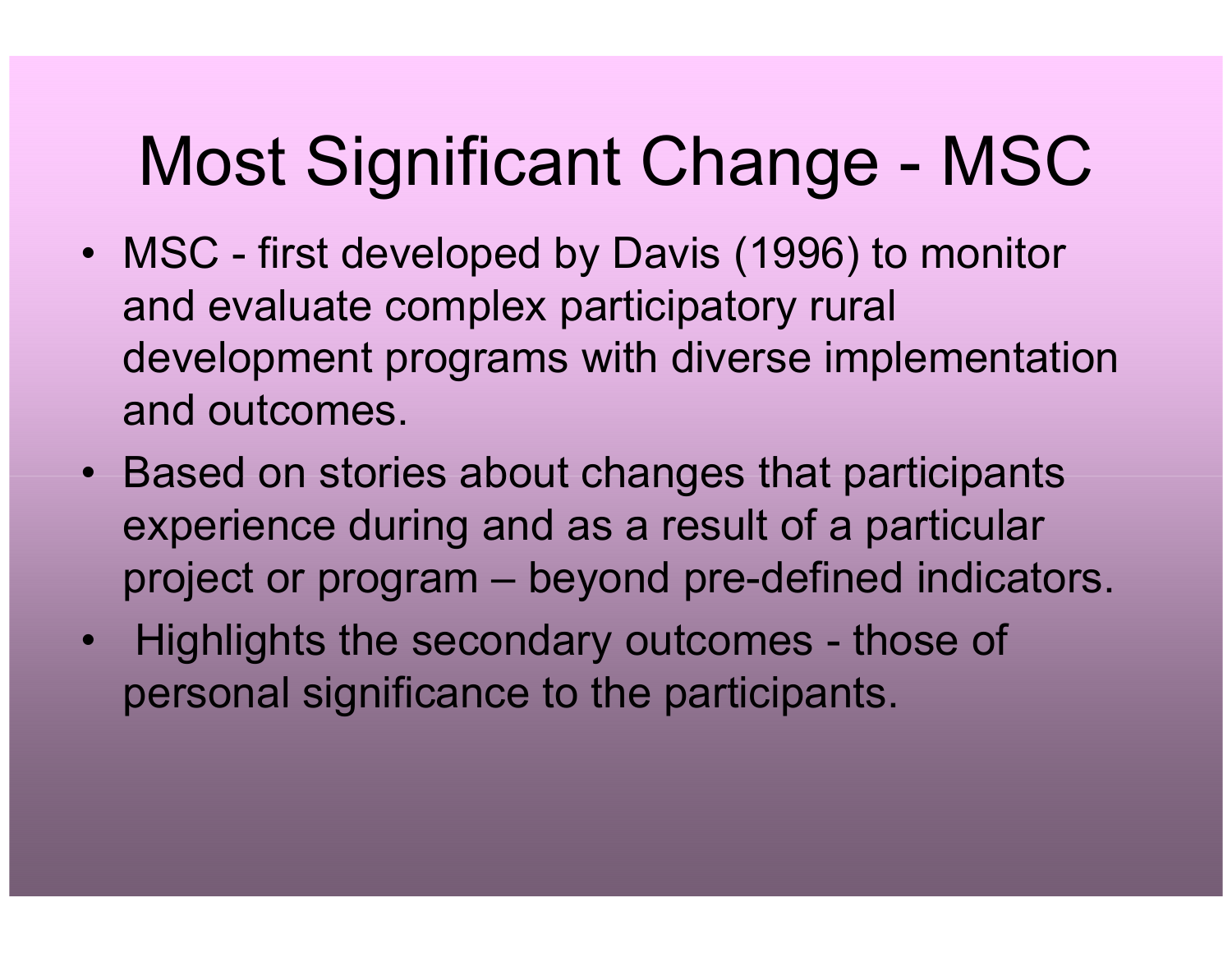# Most Significant Change - MSC

- MSC first developed by Davis (1996) to monitor and evaluate complex participatory rural development programs with diverse implementation and outcomes.
- Based on stories about changes that participants experience during and as a result of a particular project or program – beyond pre-defined indicators.
- Highlights the secondary outcomes those of personal significance to the participants.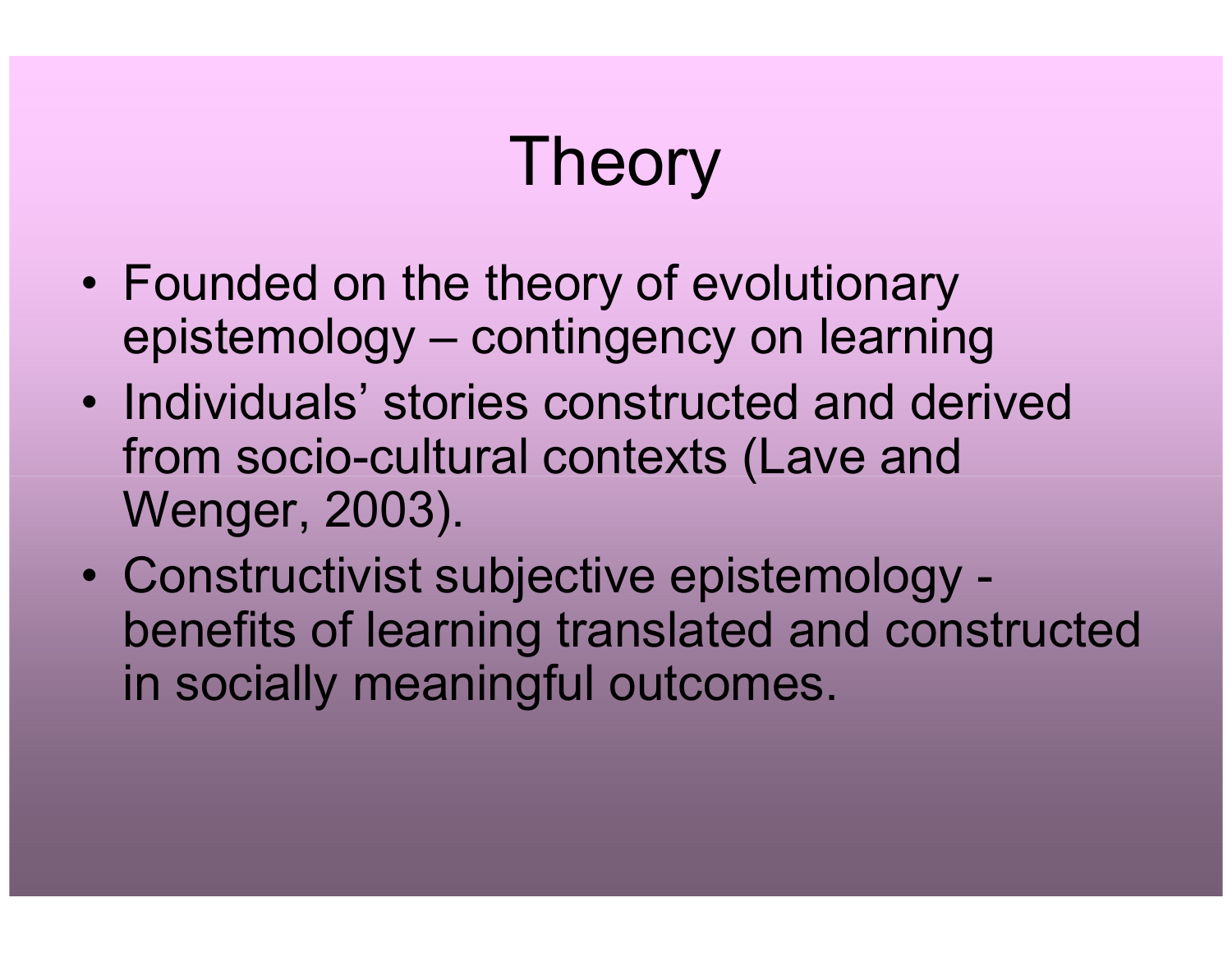# Theory

- $\bullet$ Founded on the theory of evolutionary<br>
continuous continuous carrier epistemology – contingency on learning
- Individuals' stories constructed and derived<br>from socio cultural contoxts (Lavo and from socio-cultural contexts (Lave and Wenger, 2003).
- $\bullet$  Constructivist subjective epistemology benefits of learning translated and constructed in socially meaningful outcomes.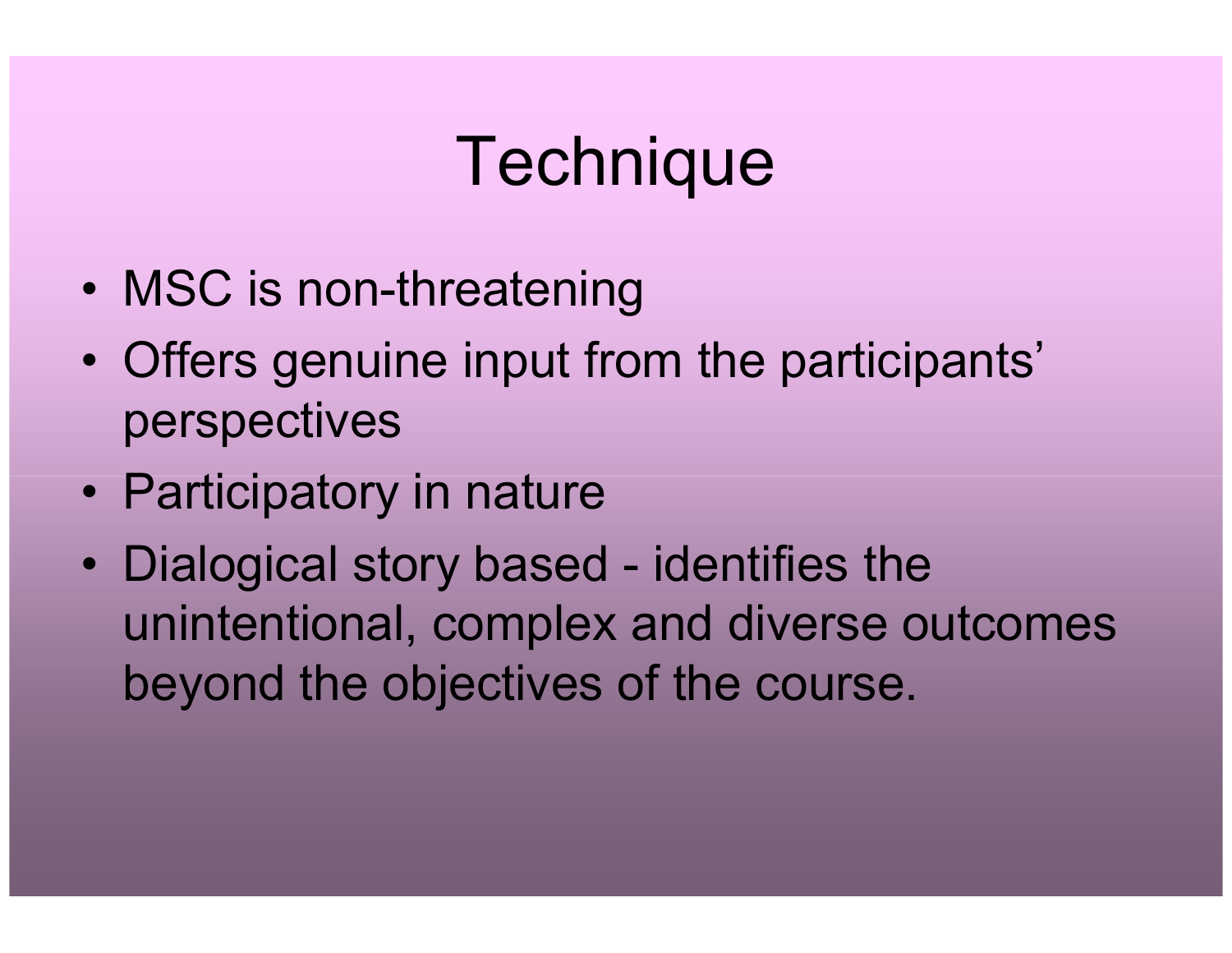# **Technique**

- •MSC is non-threatening
- $\bullet$  Offers genuine input from the participants' perspectives
- Participatory in nature
- •Dialogical story based - identifies the unintentional, complex and diverse outcomes beyond the objectives of the course.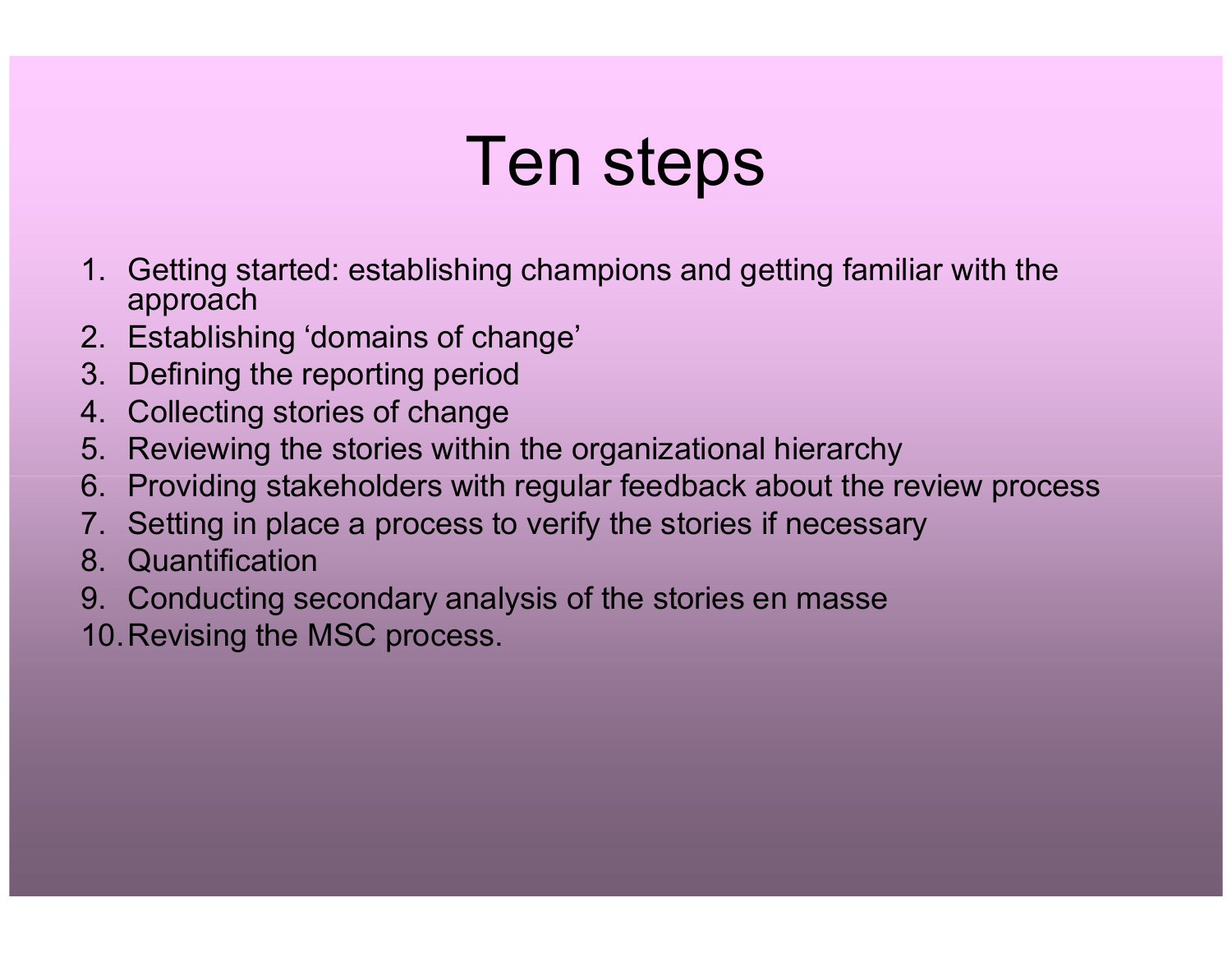# Ten steps

- 1. Getting started: establishing champions and getting familiar with the approach
- 2. Establishing 'domains of change'
- 3. Defining the reporting period
- 4. Collecting stories of change
- 5. Reviewing the stories within the organizational hierarchy
- 6. Providing stakeholders with regular feedback about the review process
- 7. Setting in place a process to verify the stories if necessary
- 8. Quantification
- 9. Conducting secondary analysis of the stories en masse
- 10.Revising the MSC process.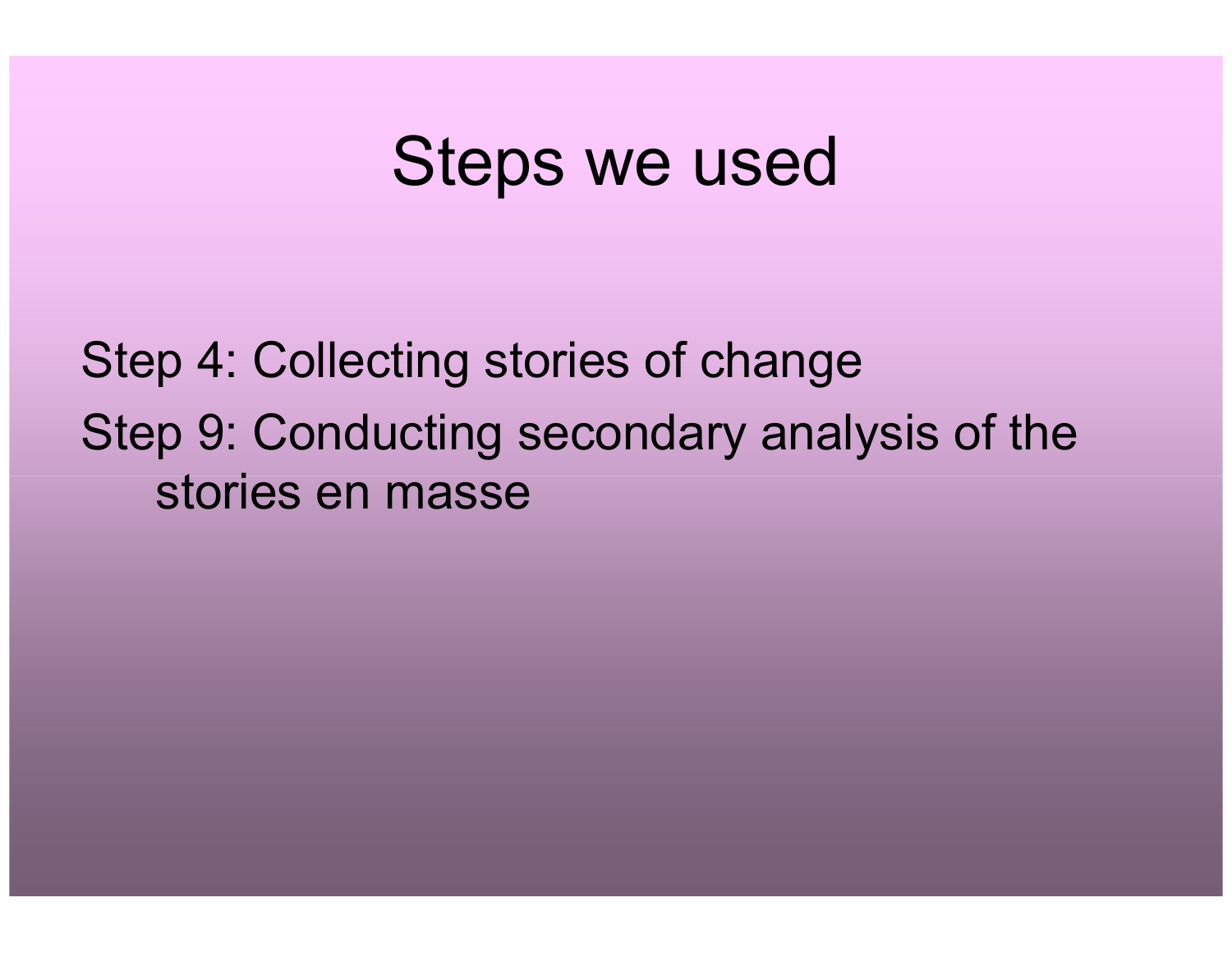#### Steps we used

Step 4: Collecting stories of change Step 9: Conducting secondary analysis of the stories en masse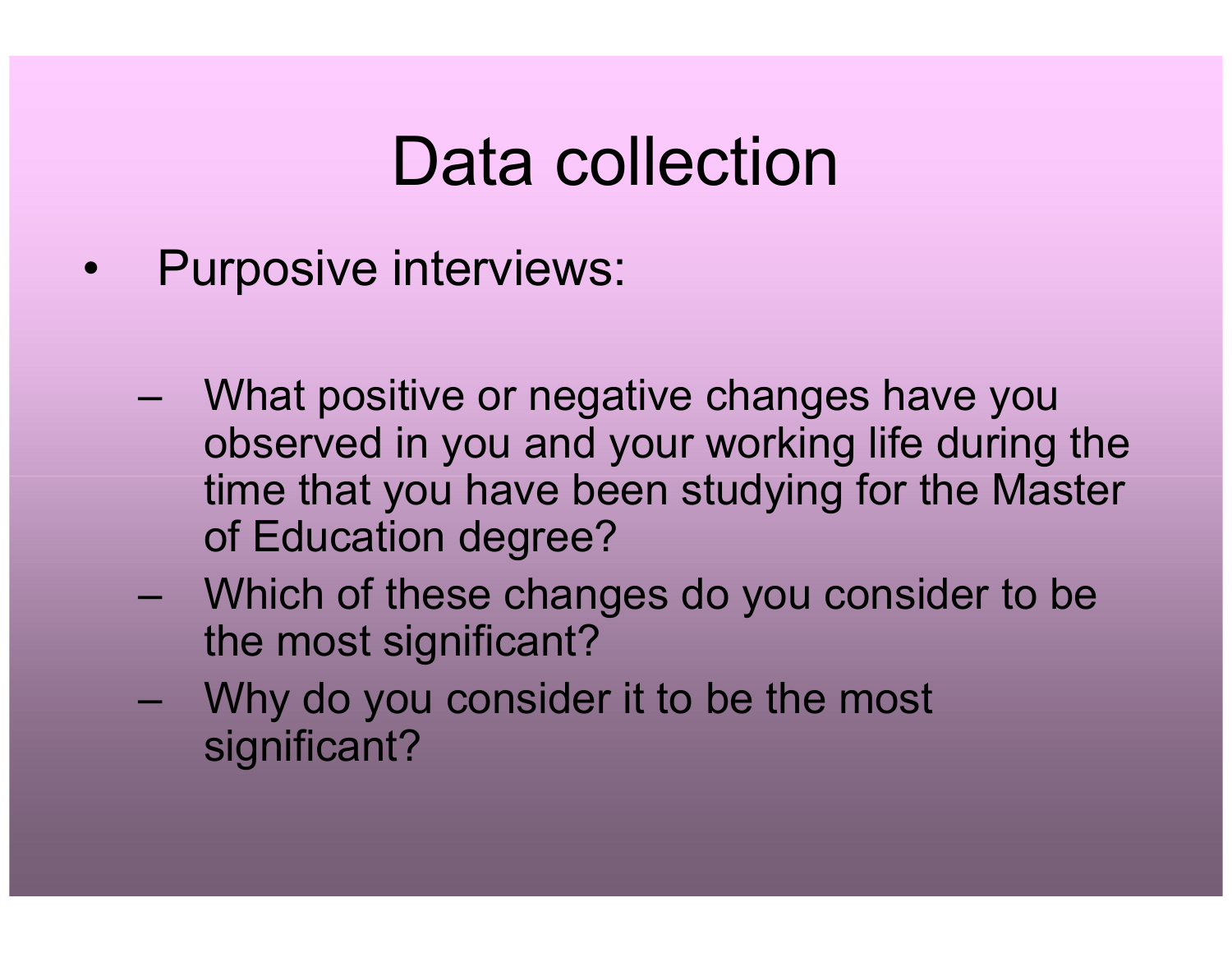# Data collection

- $\bullet$  Purposive interviews:
	- –What positive or negative changes have you observed in you and your working life during the time that you have been studying for the Master of Education degree?
	- –Which of these changes do you consider to be<br>the most significant? the most significant?
	- –Why do you consider it to be the most significant?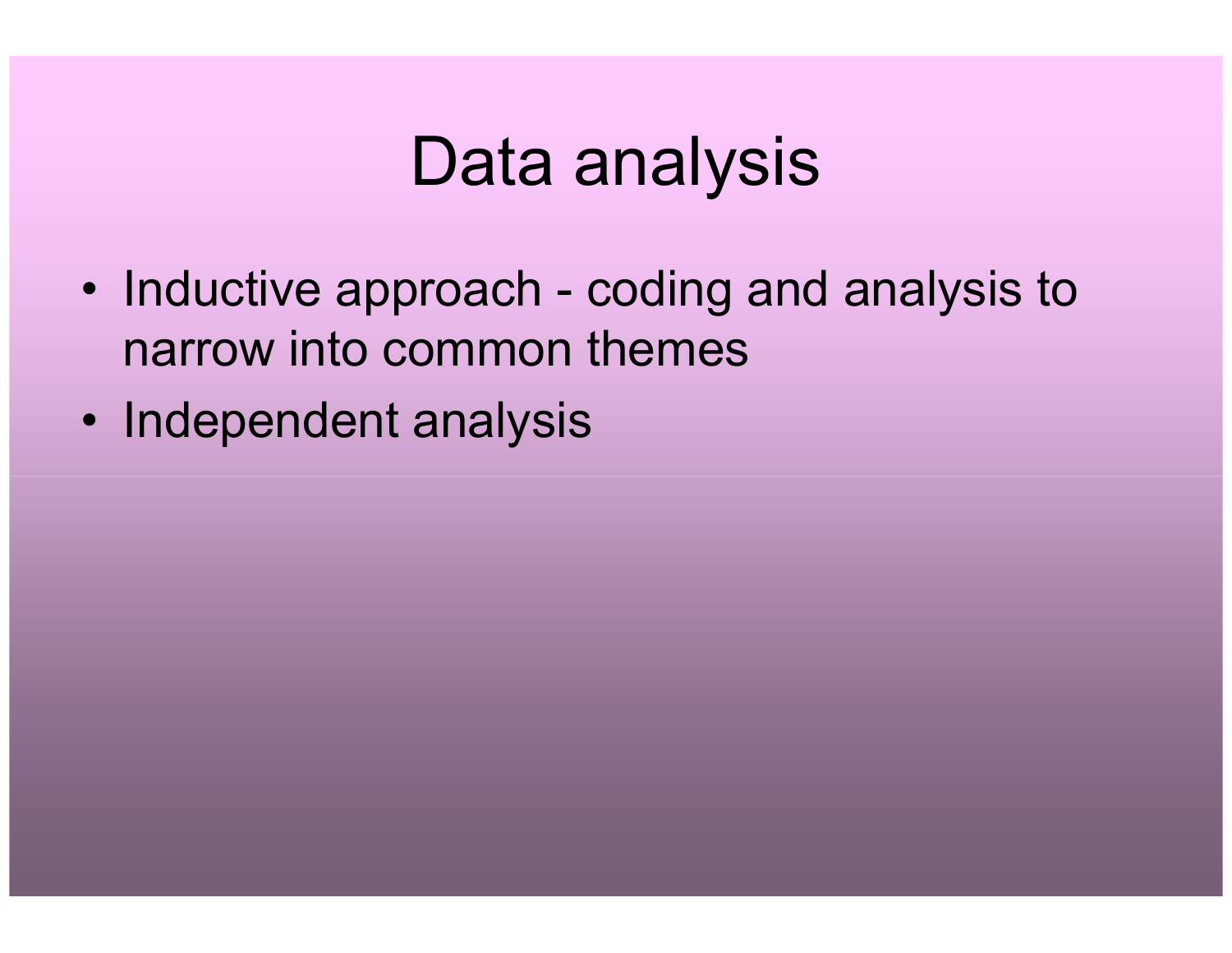### Data analysis

- Inductive approach coding and analysis to narrow into common themes
- Independent analysis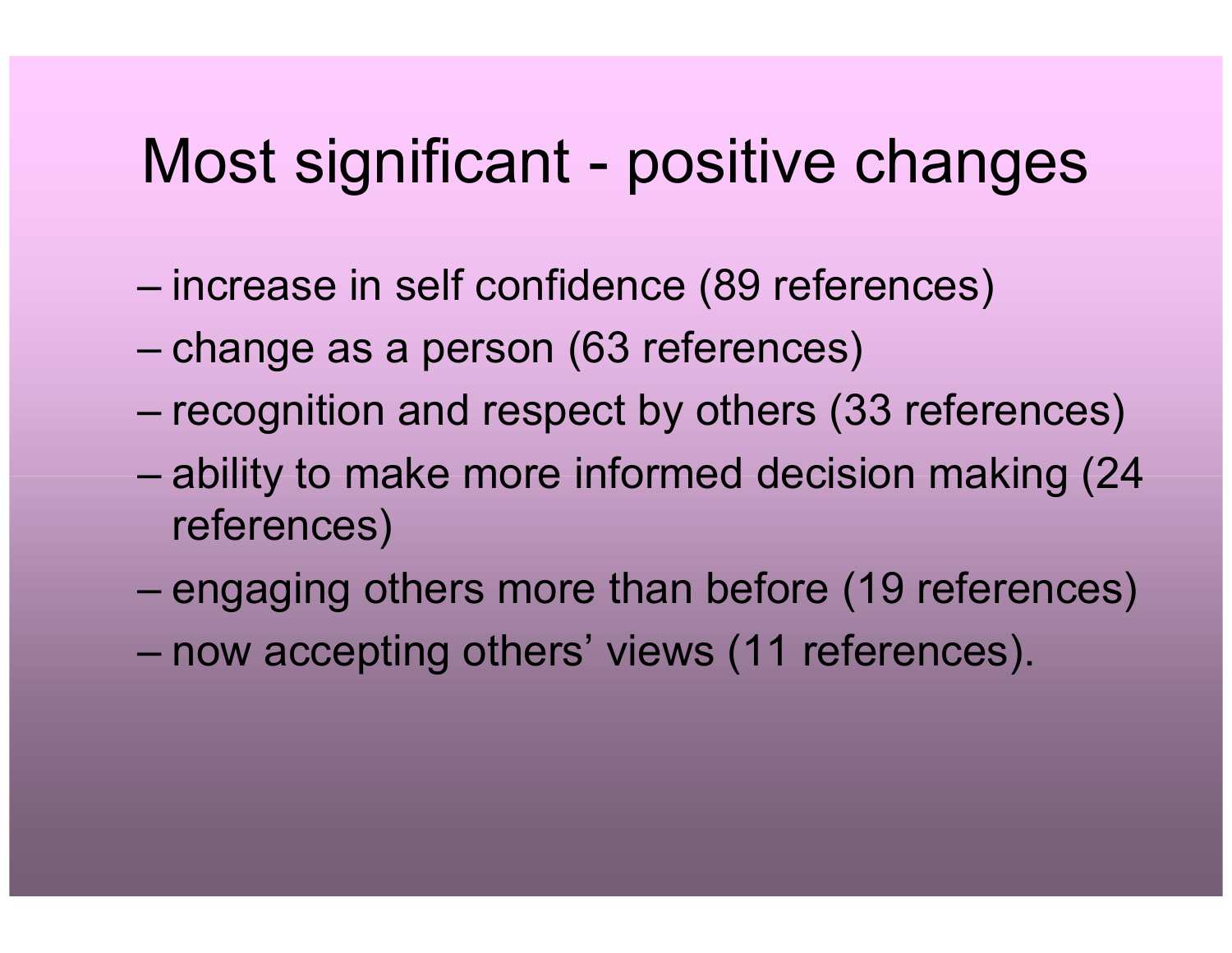#### Most significant - positive changes

- increase in self confidence (89 references)
- change as a person (63 references)
- recognition and respect by others (33 references)
- ability to make more informed decision making (24 references)
- engaging others more than before (19 references)
- now accepting others' views (11 references).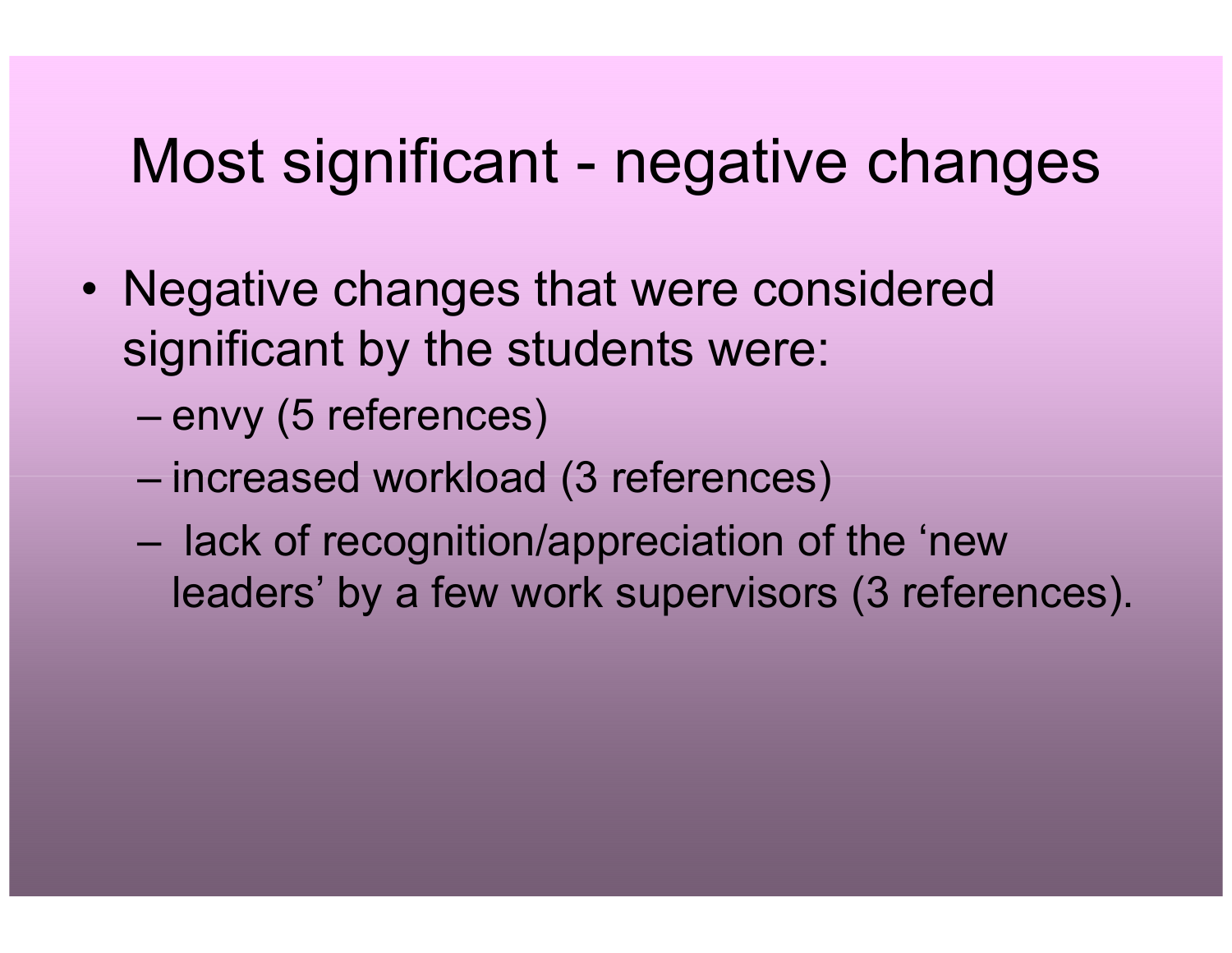#### Most significant - negative changes

- Negative changes that were considered significant by the students were:
	- envy (5 references)
	- increased workload (3 references)
	- lack of recognition/appreciation of the 'new leaders' by a few work supervisors (3 references).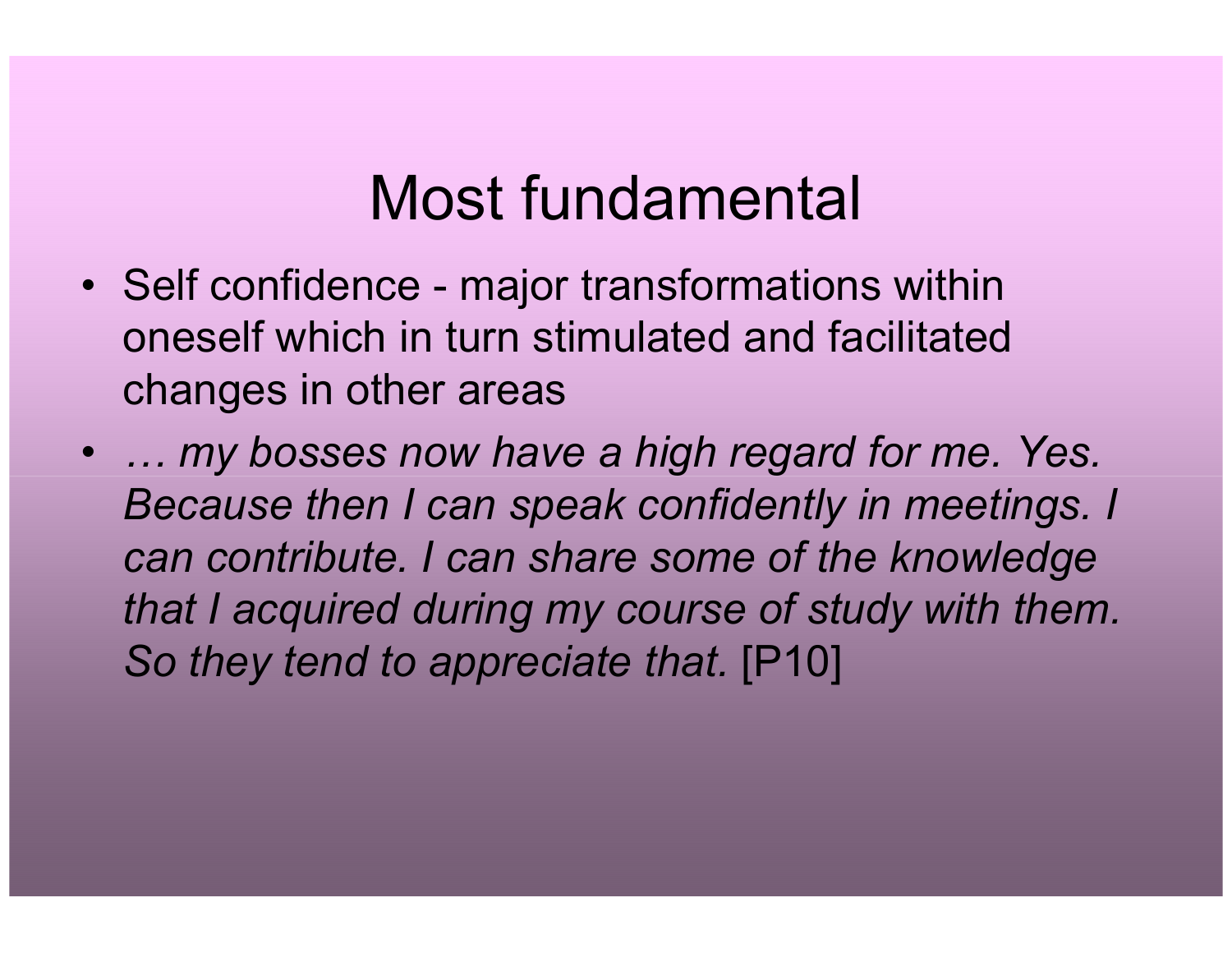#### Most fundamental

- Self confidence major transformations within oneself which in turn stimulated and facilitated changes in other areas
- … my bosses now have a high regard for me. Yes. Because then I can speak confidently in meetings. Ican contribute. I can share some of the knowledge that I acquired during my course of study with them. So they tend to appreciate that. [P10]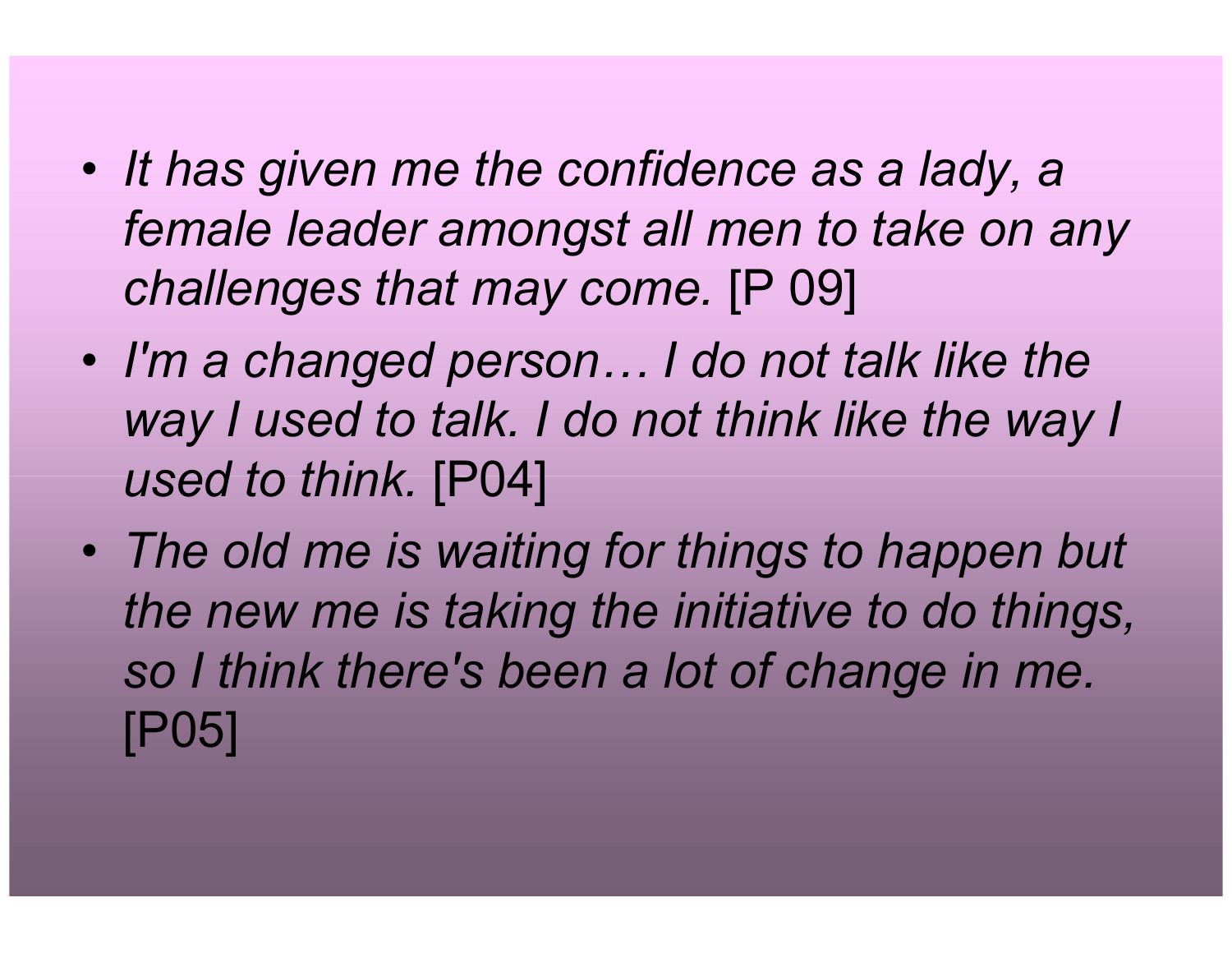- • $\bullet$  It has given me the confidence as a lady, a female leader amongst all men to take on any challenges that may come. [P 09]
- I'm a changed person… I do not talk like the way I used to talk. I do not think like the way I used to think. [P04]
- $\bullet$  The old me is waiting for things to happen but the new me is taking the initiative to do things, so I think there's been a lot of change in me. [P05]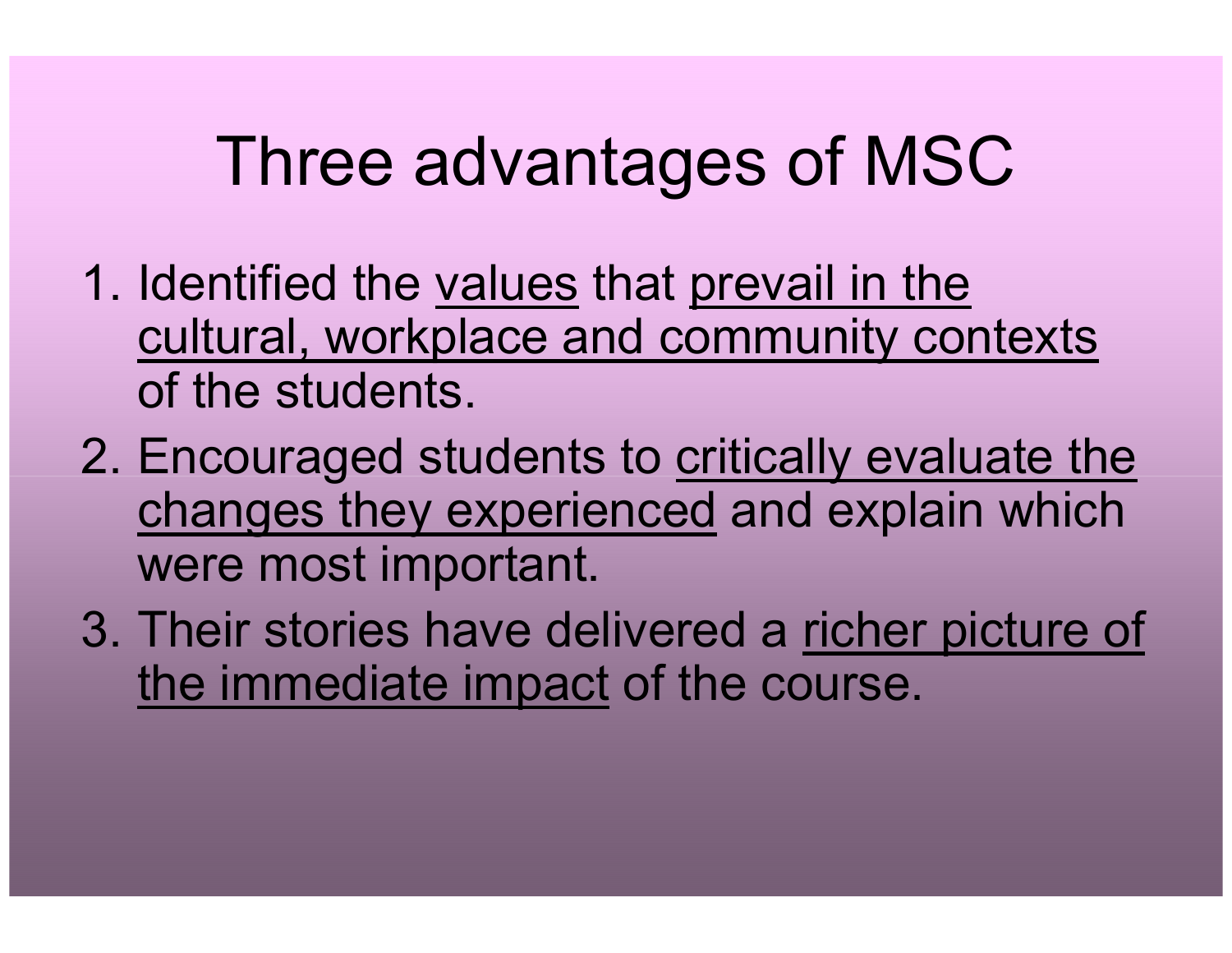## Three advantages of MSC

- 1. Identified the values that prevail in the cultural, workplace and community contextsof the students.
- 2. Encouraged students to critically evaluate the changes they experienced and explain which were most important.
- 3. Their stories have delivered a richer picture of the immediate impact of the course.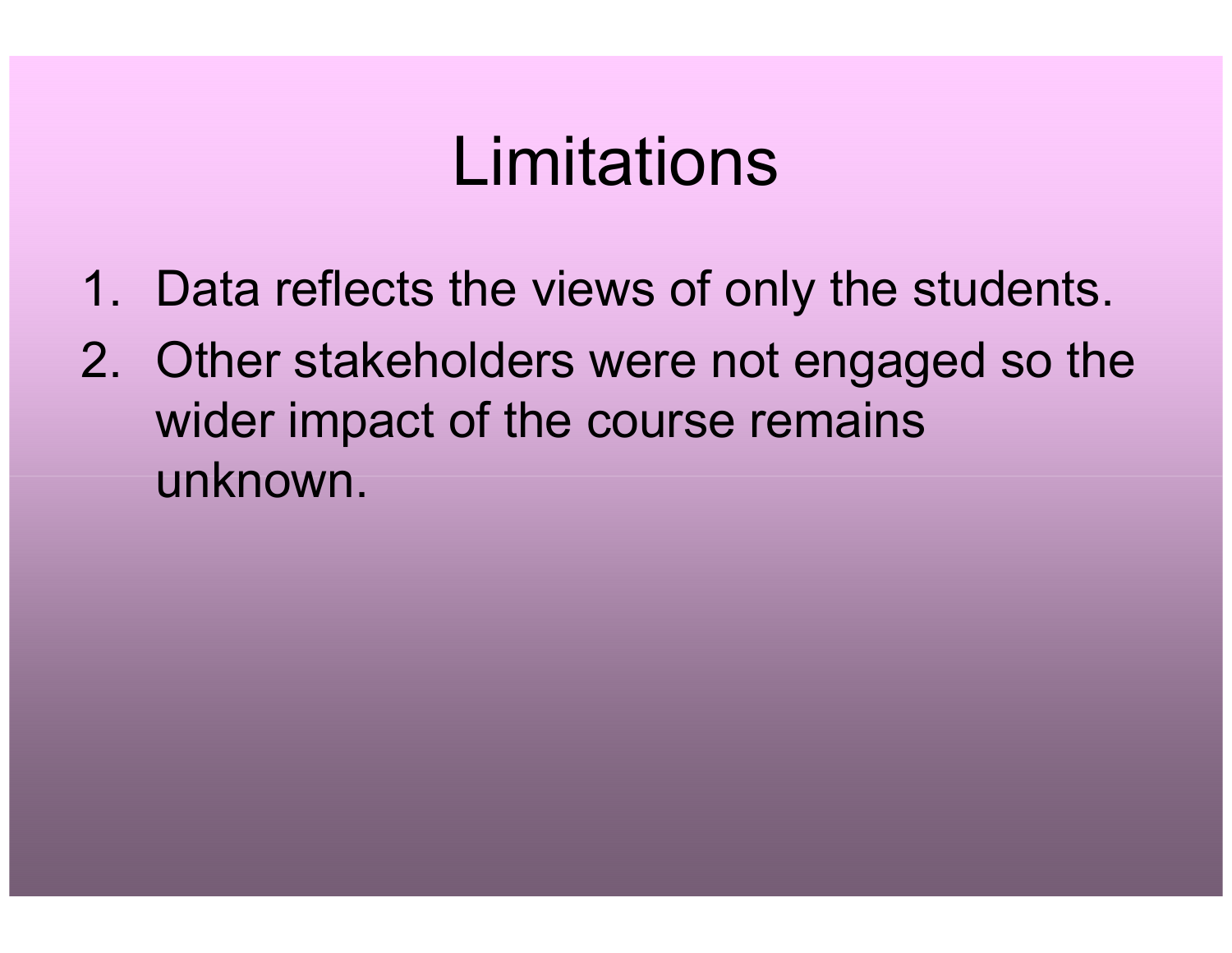## Limitations

- 1. Data reflects the views of only the students.
- 2. Other stakeholders were not engaged so the wider impact of the course remains unknown.